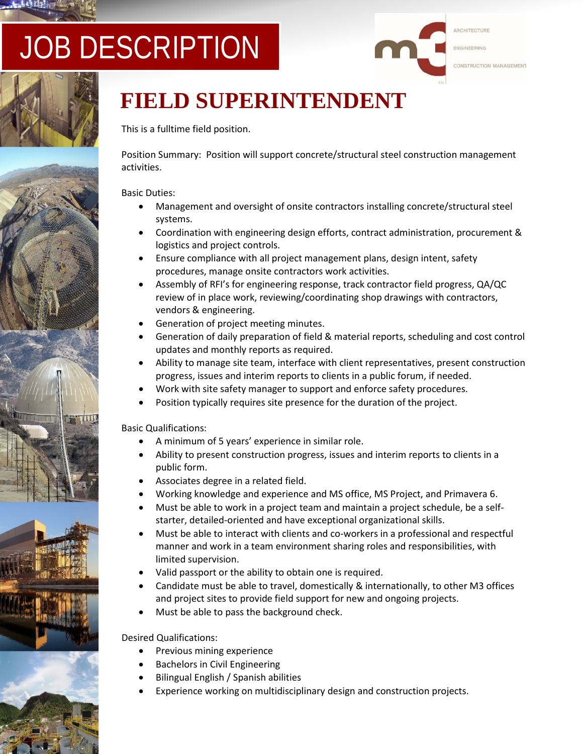# JOB DESCRIPTION









## **FIELD SUPERINTENDENT**

This is a fulltime field position.

Position Summary: Position will support concrete/structural steel construction management activities.

#### Basic Duties:

- Management and oversight of onsite contractors installing concrete/structural steel systems.
- Coordination with engineering design efforts, contract administration, procurement & logistics and project controls.
- Ensure compliance with all project management plans, design intent, safety procedures, manage onsite contractors work activities.
- Assembly of RFI's for engineering response, track contractor field progress, QA/QC review of in place work, reviewing/coordinating shop drawings with contractors, vendors & engineering.
- Generation of project meeting minutes.
- Generation of daily preparation of field & material reports, scheduling and cost control updates and monthly reports as required.
- Ability to manage site team, interface with client representatives, present construction progress, issues and interim reports to clients in a public forum, if needed.
- Work with site safety manager to support and enforce safety procedures.
- Position typically requires site presence for the duration of the project.

#### Basic Qualifications:

- A minimum of 5 years' experience in similar role.
- Ability to present construction progress, issues and interim reports to clients in a public form.
- Associates degree in a related field.
- Working knowledge and experience and MS office, MS Project, and Primavera 6.
- Must be able to work in a project team and maintain a project schedule, be a selfstarter, detailed-oriented and have exceptional organizational skills.
- Must be able to interact with clients and co-workers in a professional and respectful manner and work in a team environment sharing roles and responsibilities, with limited supervision.
- Valid passport or the ability to obtain one is required.
- Candidate must be able to travel, domestically & internationally, to other M3 offices and project sites to provide field support for new and ongoing projects.
- Must be able to pass the background check.

### Desired Qualifications:

- Previous mining experience
- Bachelors in Civil Engineering
- Bilingual English / Spanish abilities
- Experience working on multidisciplinary design and construction projects.